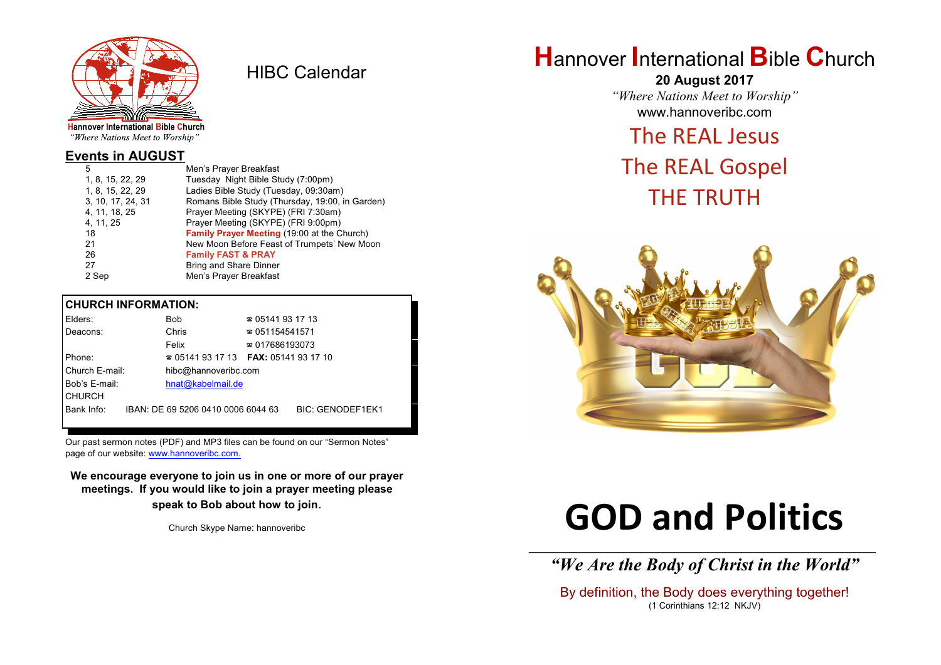

HIBC Calendar

"Where Nations Meet to Worship"

## **Events in AUGUST**

| 5                 | Men's Prayer Breakfast                          |
|-------------------|-------------------------------------------------|
| 1, 8, 15, 22, 29  | Tuesday Night Bible Study (7:00pm)              |
| 1, 8, 15, 22, 29  | Ladies Bible Study (Tuesday, 09:30am)           |
| 3, 10, 17, 24, 31 | Romans Bible Study (Thursday, 19:00, in Garden) |
| 4, 11, 18, 25     | Prayer Meeting (SKYPE) (FRI 7:30am)             |
| 4, 11, 25         | Prayer Meeting (SKYPE) (FRI 9:00pm)             |
| 18                | Family Prayer Meeting (19:00 at the Church)     |
| 21                | New Moon Before Feast of Trumpets' New Moon     |
| 26                | <b>Family FAST &amp; PRAY</b>                   |
| 27                | <b>Bring and Share Dinner</b>                   |
| 2 Sep             | Men's Prayer Breakfast                          |

#### **CHURCH INFORMATION:**

| Elders:        | Bob                                      |  | $\approx 05141931713$  |                         |
|----------------|------------------------------------------|--|------------------------|-------------------------|
| Deacons:       | Chris                                    |  | $\approx 051154541571$ |                         |
|                | Felix                                    |  | $\approx 017686193073$ |                         |
| Phone:         | $\approx 05141931713$ FAX: 0514193 17 10 |  |                        |                         |
| Church E-mail: | hibc@hannoveribc.com                     |  |                        |                         |
| Bob's E-mail:  | hnat@kabelmail.de                        |  |                        |                         |
| <b>CHURCH</b>  |                                          |  |                        |                         |
| Bank Info:     | IBAN: DE 69 5206 0410 0006 6044 63       |  |                        | <b>BIC: GENODEF1EK1</b> |
|                |                                          |  |                        |                         |

Our past sermon notes (PDF) and MP3 files can be found on our "Sermon Notes" page of our website: [www.hannoveribc.com.](http://www.hannoveribc.com.)

**We encourage everyone to join us in one or more of our prayer meetings. If you would like to join a prayer meeting please speak to Bob about how to join**.

Church Skype Name: hannoveribc

# **H**annover **I**nternational **B**ible **C**hurch

**20 August 2017** *"Where Nations Meet to Worship"* www.hannoveribc.com

# The REAL Jesus

# The REAL Gospel THE TRUTH



# **GOD and Politics**

\_\_\_\_\_\_\_\_\_\_\_\_\_\_\_\_\_\_\_\_\_\_\_\_\_\_\_\_\_\_\_\_\_\_\_\_\_\_\_\_\_\_\_\_\_\_\_\_\_\_\_\_\_\_\_\_\_\_\_\_\_\_ *"We Are the Body of Christ in the World"*

By definition, the Body does everything together! (1 Corinthians 12:12 NKJV)